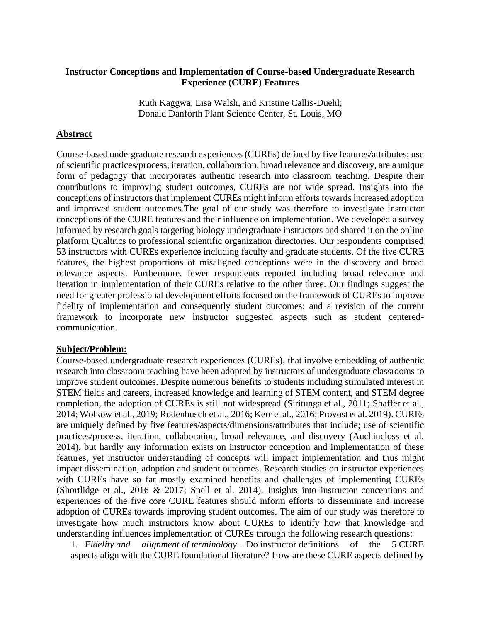#### **Instructor Conceptions and Implementation of Course-based Undergraduate Research Experience (CURE) Features**

Ruth Kaggwa, Lisa Walsh, and Kristine Callis-Duehl; Donald Danforth Plant Science Center, St. Louis, MO

#### **Abstract**

Course-based undergraduate research experiences (CUREs) defined by five features/attributes; use of scientific practices/process, iteration, collaboration, broad relevance and discovery, are a unique form of pedagogy that incorporates authentic research into classroom teaching. Despite their contributions to improving student outcomes, CUREs are not wide spread. Insights into the conceptions of instructors that implement CUREs might inform efforts towards increased adoption and improved student outcomes.The goal of our study was therefore to investigate instructor conceptions of the CURE features and their influence on implementation. We developed a survey informed by research goals targeting biology undergraduate instructors and shared it on the online platform Qualtrics to professional scientific organization directories. Our respondents comprised 53 instructors with CUREs experience including faculty and graduate students. Of the five CURE features, the highest proportions of misaligned conceptions were in the discovery and broad relevance aspects. Furthermore, fewer respondents reported including broad relevance and iteration in implementation of their CUREs relative to the other three. Our findings suggest the need for greater professional development efforts focused on the framework of CUREs to improve fidelity of implementation and consequently student outcomes; and a revision of the current framework to incorporate new instructor suggested aspects such as student centeredcommunication.

#### **Subject/Problem:**

Course-based undergraduate research experiences (CUREs), that involve embedding of authentic research into classroom teaching have been adopted by instructors of undergraduate classrooms to improve student outcomes. Despite numerous benefits to students including stimulated interest in STEM fields and careers, increased knowledge and learning of STEM content, and STEM degree completion, the adoption of CUREs is still not widespread (Siritunga et al., 2011; Shaffer et al., 2014; Wolkow et al., 2019; Rodenbusch et al., 2016; Kerr et al., 2016; Provost et al. 2019). CUREs are uniquely defined by five features/aspects/dimensions/attributes that include; use of scientific practices/process, iteration, collaboration, broad relevance, and discovery (Auchincloss et al. 2014), but hardly any information exists on instructor conception and implementation of these features, yet instructor understanding of concepts will impact implementation and thus might impact dissemination, adoption and student outcomes. Research studies on instructor experiences with CUREs have so far mostly examined benefits and challenges of implementing CUREs (Shortlidge et al., 2016 & 2017; Spell et al. 2014). Insights into instructor conceptions and experiences of the five core CURE features should inform efforts to disseminate and increase adoption of CUREs towards improving student outcomes. The aim of our study was therefore to investigate how much instructors know about CUREs to identify how that knowledge and understanding influences implementation of CUREs through the following research questions:

1. *Fidelity and alignment of terminology* – Do instructor definitions of the 5 CURE aspects align with the CURE foundational literature? How are these CURE aspects defined by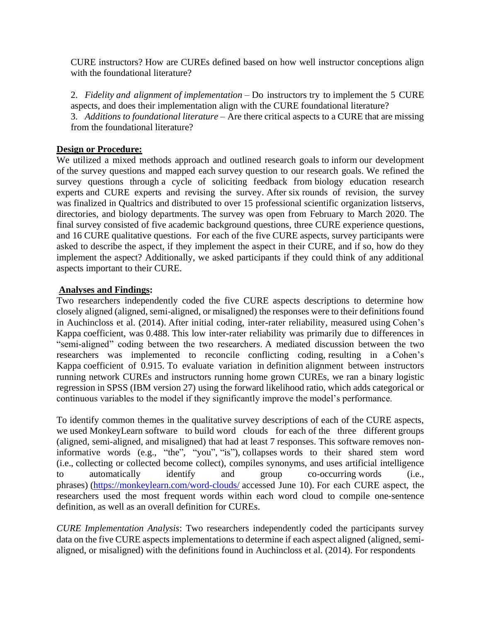CURE instructors? How are CUREs defined based on how well instructor conceptions align with the foundational literature?

2. *Fidelity and alignment of implementation* – Do instructors try to implement the 5 CURE aspects, and does their implementation align with the CURE foundational literature? 3. *Additions to foundational literature* – Are there critical aspects to a CURE that are missing from the foundational literature?

## **Design or Procedure:**

We utilized a mixed methods approach and outlined research goals to inform our development of the survey questions and mapped each survey question to our research goals. We refined the survey questions through a cycle of soliciting feedback from biology education research experts and CURE experts and revising the survey. After six rounds of revision, the survey was finalized in Qualtrics and distributed to over 15 professional scientific organization listservs, directories, and biology departments. The survey was open from February to March 2020. The final survey consisted of five academic background questions, three CURE experience questions, and 16 CURE qualitative questions. For each of the five CURE aspects, survey participants were asked to describe the aspect, if they implement the aspect in their CURE, and if so, how do they implement the aspect? Additionally, we asked participants if they could think of any additional aspects important to their CURE.

## **Analyses and Findings:**

Two researchers independently coded the five CURE aspects descriptions to determine how closely aligned (aligned, semi-aligned, or misaligned) the responses were to their definitions found in Auchincloss et al. (2014). After initial coding, inter-rater reliability, measured using Cohen's Kappa coefficient, was 0.488. This low inter-rater reliability was primarily due to differences in "semi-aligned" coding between the two researchers. A mediated discussion between the two researchers was implemented to reconcile conflicting coding, resulting in a Cohen's Kappa coefficient of 0.915. To evaluate variation in definition alignment between instructors running network CUREs and instructors running home grown CUREs, we ran a binary logistic regression in SPSS (IBM version 27) using the forward likelihood ratio, which adds categorical or continuous variables to the model if they significantly improve the model's performance.

To identify common themes in the qualitative survey descriptions of each of the CURE aspects, we used MonkeyLearn software to build word clouds for each of the three different groups (aligned, semi-aligned, and misaligned) that had at least 7 responses. This software removes noninformative words (e.g., "the", "you", "is"), collapses words to their shared stem word (i.e., collecting or collected become collect), compiles synonyms, and uses artificial intelligence to automatically identify and group co-occurring words (i.e., phrases) [\(https://monkeylearn.com/word-clouds/](https://monkeylearn.com/word-clouds/) accessed June 10). For each CURE aspect, the researchers used the most frequent words within each word cloud to compile one-sentence definition, as well as an overall definition for CUREs.

*CURE Implementation Analysis*: Two researchers independently coded the participants survey data on the five CURE aspects implementations to determine if each aspect aligned (aligned, semialigned, or misaligned) with the definitions found in Auchincloss et al. (2014). For respondents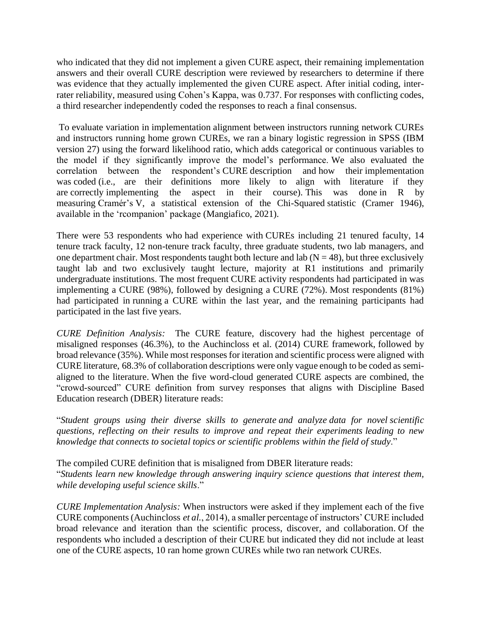who indicated that they did not implement a given CURE aspect, their remaining implementation answers and their overall CURE description were reviewed by researchers to determine if there was evidence that they actually implemented the given CURE aspect. After initial coding, interrater reliability, measured using Cohen's Kappa, was 0.737. For responses with conflicting codes, a third researcher independently coded the responses to reach a final consensus.

To evaluate variation in implementation alignment between instructors running network CUREs and instructors running home grown CUREs, we ran a binary logistic regression in SPSS (IBM version 27) using the forward likelihood ratio, which adds categorical or continuous variables to the model if they significantly improve the model's performance. We also evaluated the correlation between the respondent's CURE description and how their implementation was coded (i.e., are their definitions more likely to align with literature if they are correctly implementing the aspect in their course). This was done in R by measuring Cramér's V, a statistical extension of the Chi-Squared statistic (Cramer 1946), available in the 'rcompanion' package (Mangiafico, 2021).

There were 53 respondents who had experience with CUREs including 21 tenured faculty, 14 tenure track faculty, 12 non-tenure track faculty, three graduate students, two lab managers, and one department chair. Most respondents taught both lecture and lab ( $N = 48$ ), but three exclusively taught lab and two exclusively taught lecture, majority at R1 institutions and primarily undergraduate institutions. The most frequent CURE activity respondents had participated in was implementing a CURE (98%), followed by designing a CURE (72%). Most respondents (81%) had participated in running a CURE within the last year, and the remaining participants had participated in the last five years.

*CURE Definition Analysis:* The CURE feature, discovery had the highest percentage of misaligned responses (46.3%), to the Auchincloss et al. (2014) CURE framework, followed by broad relevance (35%). While most responses for iteration and scientific process were aligned with CURE literature, 68.3% of collaboration descriptions were only vague enough to be coded as semialigned to the literature. When the five word-cloud generated CURE aspects are combined, the "crowd-sourced" CURE definition from survey responses that aligns with Discipline Based Education research (DBER) literature reads:

"*Student groups using their diverse skills to generate and analyze data for novel scientific questions, reflecting on their results to improve and repeat their experiments leading to new knowledge that connects to societal topics or scientific problems within the field of study*."

The compiled CURE definition that is misaligned from DBER literature reads: "*Students learn new knowledge through answering inquiry science questions that interest them, while developing useful science skills*."

*CURE Implementation Analysis:* When instructors were asked if they implement each of the five CURE components (Auchincloss *et al.*, 2014), a smaller percentage of instructors' CURE included broad relevance and iteration than the scientific process, discover, and collaboration. Of the respondents who included a description of their CURE but indicated they did not include at least one of the CURE aspects, 10 ran home grown CUREs while two ran network CUREs.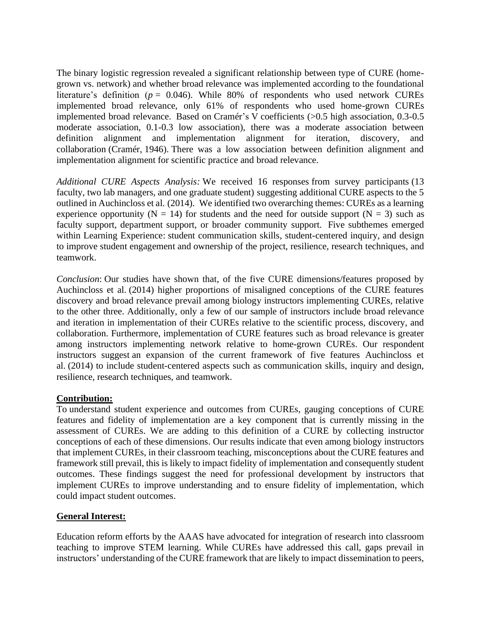The binary logistic regression revealed a significant relationship between type of CURE (homegrown vs. network) and whether broad relevance was implemented according to the foundational literature's definition ( $p = 0.046$ ). While 80% of respondents who used network CUREs implemented broad relevance, only 61% of respondents who used home-grown CUREs implemented broad relevance. Based on Cramér's V coefficients (>0.5 high association, 0.3-0.5 moderate association, 0.1-0.3 low association), there was a moderate association between definition alignment and implementation alignment for iteration, discovery, and collaboration (Cramér, 1946). There was a low association between definition alignment and implementation alignment for scientific practice and broad relevance.

*Additional CURE Aspects Analysis:* We received 16 responses from survey participants (13 faculty, two lab managers, and one graduate student) suggesting additional CURE aspects to the 5 outlined in Auchincloss et al. (2014). We identified two overarching themes: CUREs as a learning experience opportunity ( $N = 14$ ) for students and the need for outside support ( $N = 3$ ) such as faculty support, department support, or broader community support. Five subthemes emerged within Learning Experience: student communication skills, student-centered inquiry, and design to improve student engagement and ownership of the project, resilience, research techniques, and teamwork.

*Conclusion*: Our studies have shown that, of the five CURE dimensions/features proposed by Auchincloss et al. (2014) higher proportions of misaligned conceptions of the CURE features discovery and broad relevance prevail among biology instructors implementing CUREs, relative to the other three. Additionally, only a few of our sample of instructors include broad relevance and iteration in implementation of their CUREs relative to the scientific process, discovery, and collaboration. Furthermore, implementation of CURE features such as broad relevance is greater among instructors implementing network relative to home-grown CUREs. Our respondent instructors suggest an expansion of the current framework of five features Auchincloss et al. (2014) to include student-centered aspects such as communication skills, inquiry and design, resilience, research techniques, and teamwork.

# **Contribution:**

To understand student experience and outcomes from CUREs, gauging conceptions of CURE features and fidelity of implementation are a key component that is currently missing in the assessment of CUREs. We are adding to this definition of a CURE by collecting instructor conceptions of each of these dimensions. Our results indicate that even among biology instructors that implement CUREs, in their classroom teaching, misconceptions about the CURE features and framework still prevail, this is likely to impact fidelity of implementation and consequently student outcomes. These findings suggest the need for professional development by instructors that implement CUREs to improve understanding and to ensure fidelity of implementation, which could impact student outcomes.

# **General Interest:**

Education reform efforts by the AAAS have advocated for integration of research into classroom teaching to improve STEM learning. While CUREs have addressed this call, gaps prevail in instructors' understanding of the CURE framework that are likely to impact dissemination to peers,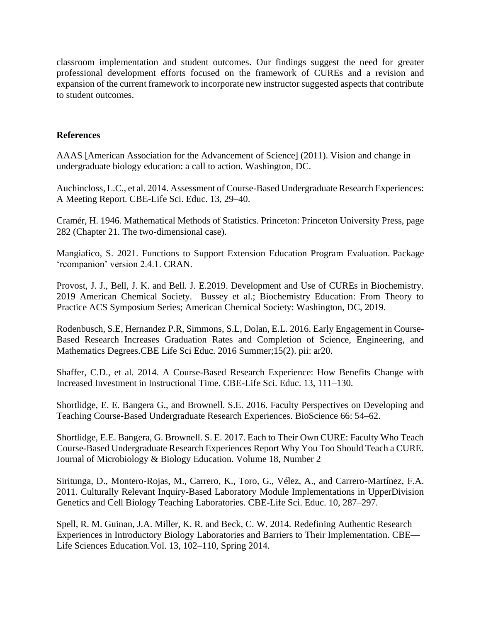classroom implementation and student outcomes. Our findings suggest the need for greater professional development efforts focused on the framework of CUREs and a revision and expansion of the current framework to incorporate new instructor suggested aspects that contribute to student outcomes.

## **References**

AAAS [American Association for the Advancement of Science] (2011). Vision and change in undergraduate biology education: a call to action. Washington, DC.

Auchincloss, L.C., et al. 2014. Assessment of Course-Based Undergraduate Research Experiences: A Meeting Report. CBE-Life Sci. Educ. 13, 29–40.

Cramér, H. 1946. Mathematical Methods of Statistics. Princeton: Princeton University Press, page 282 (Chapter 21. The two-dimensional case).

Mangiafico, S. 2021. Functions to Support Extension Education Program Evaluation. Package 'rcompanion' version 2.4.1. CRAN.

Provost, J. J., Bell, J. K. and Bell. J. E.2019. Development and Use of CUREs in Biochemistry. 2019 American Chemical Society. Bussey et al.; Biochemistry Education: From Theory to Practice ACS Symposium Series; American Chemical Society: Washington, DC, 2019.

[Rodenbusch, S.E,](https://www.ncbi.nlm.nih.gov/pubmed/?term=Rodenbusch%20SE%5BAuthor%5D&cauthor=true&cauthor_uid=27252296) [Hernandez P.R,](https://www.ncbi.nlm.nih.gov/pubmed/?term=Hernandez%20PR%5BAuthor%5D&cauthor=true&cauthor_uid=27252296) [Simmons, S.L,](https://www.ncbi.nlm.nih.gov/pubmed/?term=Simmons%20SL%5BAuthor%5D&cauthor=true&cauthor_uid=27252296) [Dolan, E.L.](https://www.ncbi.nlm.nih.gov/pubmed/?term=Dolan%20EL%5BAuthor%5D&cauthor=true&cauthor_uid=27252296) 2016. Early Engagement in Course-Based Research Increases Graduation Rates and Completion of Science, Engineering, and Mathematics Degrees[.CBE Life Sci Educ.](https://www.ncbi.nlm.nih.gov/pubmed/27252296) 2016 Summer;15(2). pii: ar20.

Shaffer, C.D., et al. 2014. A Course-Based Research Experience: How Benefits Change with Increased Investment in Instructional Time. CBE-Life Sci. Educ. 13, 111–130.

Shortlidge, E. E. Bangera G., and Brownell. S.E. 2016. Faculty Perspectives on Developing and Teaching Course-Based Undergraduate Research Experiences. BioScience 66: 54–62.

Shortlidge, E.E. Bangera, G. Brownell. S. E. 2017. Each to Their Own CURE: Faculty Who Teach Course-Based Undergraduate Research Experiences Report Why You Too Should Teach a CURE. Journal of Microbiology & Biology Education. Volume 18, Number 2

Siritunga, D., Montero-Rojas, M., Carrero, K., Toro, G., Vélez, A., and Carrero-Martínez, F.A. 2011. Culturally Relevant Inquiry-Based Laboratory Module Implementations in UpperDivision Genetics and Cell Biology Teaching Laboratories. CBE-Life Sci. Educ. 10, 287–297.

Spell, R. M. Guinan, J.A. Miller, K. R. and Beck, C. W. 2014. Redefining Authentic Research Experiences in Introductory Biology Laboratories and Barriers to Their Implementation. CBE— Life Sciences Education.Vol. 13, 102–110, Spring 2014.